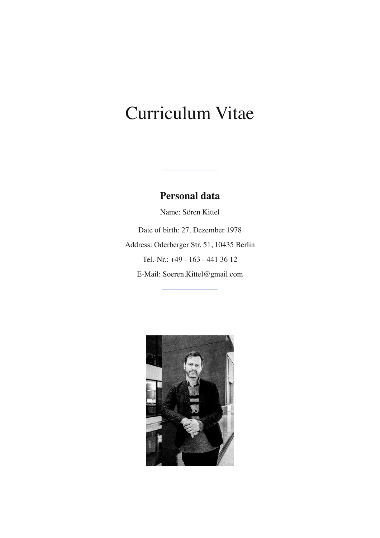# Curriculum Vitae

## **Personal data**

Name: Sören Kittel Date of birth: 27. Dezember 1978 Address: Oderberger Str. 51, 10435 Berlin Tel.-Nr.: +49 - 163 - 441 36 12 E-Mail: Soeren.Kittel@gmail.com